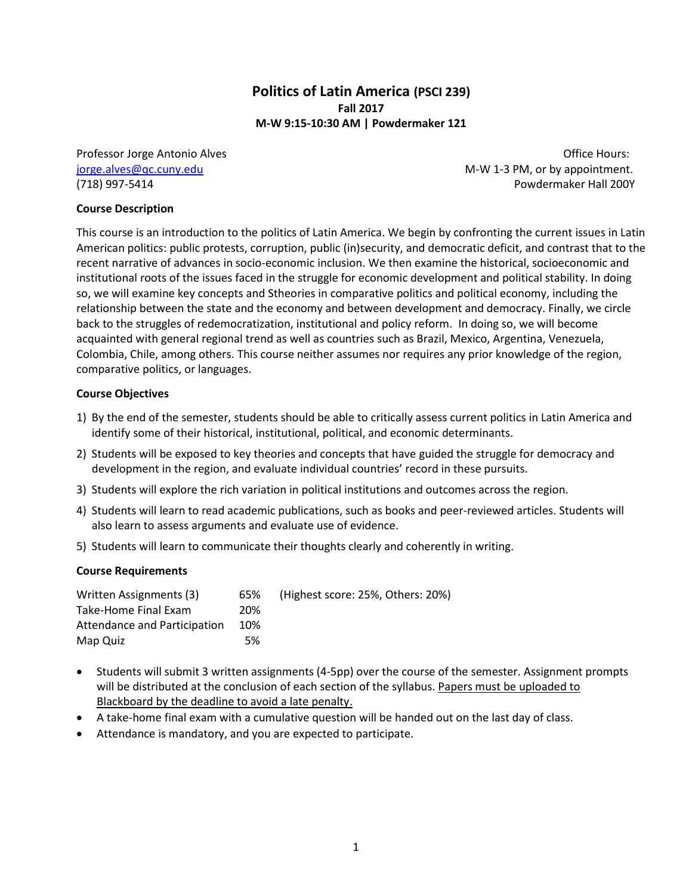# **Politics of Latin America (PSCI 239) Fall 2017 M-W 9:15-10:30 AM | Powdermaker 121**

Professor Jorge Antonio Alves **Discussion Control and Alves** Office Hours:

[jorge.alves@qc.cuny.edu](mailto:jorge.alves@qc.cuny.edu) M-W 1-3 PM, or by appointment. (718) 997-5414 Powdermaker Hall 200Y

### **Course Description**

This course is an introduction to the politics of Latin America. We begin by confronting the current issues in Latin American politics: public protests, corruption, public (in)security, and democratic deficit, and contrast that to the recent narrative of advances in socio-economic inclusion. We then examine the historical, socioeconomic and institutional roots of the issues faced in the struggle for economic development and political stability. In doing so, we will examine key concepts and Stheories in comparative politics and political economy, including the relationship between the state and the economy and between development and democracy. Finally, we circle back to the struggles of redemocratization, institutional and policy reform. In doing so, we will become acquainted with general regional trend as well as countries such as Brazil, Mexico, Argentina, Venezuela, Colombia, Chile, among others. This course neither assumes nor requires any prior knowledge of the region, comparative politics, or languages.

### **Course Objectives**

- 1) By the end of the semester, students should be able to critically assess current politics in Latin America and identify some of their historical, institutional, political, and economic determinants.
- 2) Students will be exposed to key theories and concepts that have guided the struggle for democracy and development in the region, and evaluate individual countries' record in these pursuits.
- 3) Students will explore the rich variation in political institutions and outcomes across the region.
- 4) Students will learn to read academic publications, such as books and peer-reviewed articles. Students will also learn to assess arguments and evaluate use of evidence.
- 5) Students will learn to communicate their thoughts clearly and coherently in writing.

#### **Course Requirements**

| Written Assignments (3)      | 65% | (Highest score: 25%, Others: 20%) |
|------------------------------|-----|-----------------------------------|
| Take-Home Final Exam         | 20% |                                   |
| Attendance and Participation | 10% |                                   |
| Map Quiz                     | 5%  |                                   |

- Students will submit 3 written assignments (4-5pp) over the course of the semester. Assignment prompts will be distributed at the conclusion of each section of the syllabus. Papers must be uploaded to Blackboard by the deadline to avoid a late penalty.
- A take-home final exam with a cumulative question will be handed out on the last day of class.
- Attendance is mandatory, and you are expected to participate.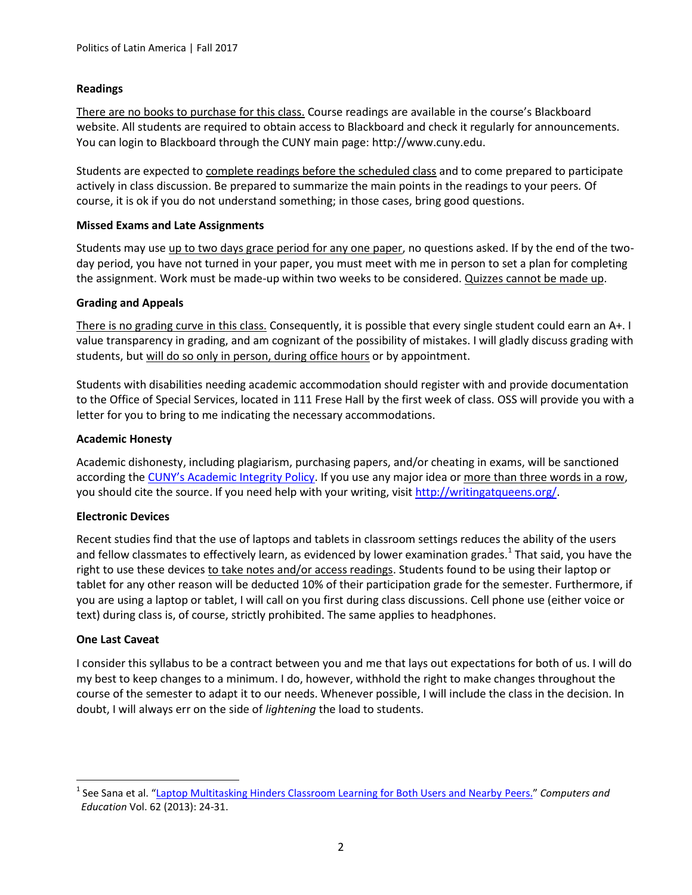# **Readings**

There are no books to purchase for this class. Course readings are available in the course's Blackboard website. All students are required to obtain access to Blackboard and check it regularly for announcements. You can login to Blackboard through the CUNY main page: http://www.cuny.edu.

Students are expected to complete readings before the scheduled class and to come prepared to participate actively in class discussion. Be prepared to summarize the main points in the readings to your peers*.* Of course, it is ok if you do not understand something; in those cases, bring good questions.

# **Missed Exams and Late Assignments**

Students may use up to two days grace period for any one paper, no questions asked. If by the end of the twoday period, you have not turned in your paper, you must meet with me in person to set a plan for completing the assignment. Work must be made-up within two weeks to be considered. Quizzes cannot be made up.

### **Grading and Appeals**

There is no grading curve in this class. Consequently, it is possible that every single student could earn an A+. I value transparency in grading, and am cognizant of the possibility of mistakes. I will gladly discuss grading with students, but will do so only in person, during office hours or by appointment.

Students with disabilities needing academic accommodation should register with and provide documentation to the Office of Special Services, located in 111 Frese Hall by the first week of class. OSS will provide you with a letter for you to bring to me indicating the necessary accommodations.

# **Academic Honesty**

Academic dishonesty, including plagiarism, purchasing papers, and/or cheating in exams, will be sanctioned according the [CUNY's Academic Integrity Policy](https://www.cuny.edu/about/administration/offices/la/Academic_Integrity_Policy.pdf). If you use any major idea or more than three words in a row, you should cite the source. If you need help with your writing, visi[t http://writingatqueens.org/.](http://writingatqueens.org/)

# **Electronic Devices**

Recent studies find that the use of laptops and tablets in classroom settings reduces the ability of the users and fellow classmates to effectively learn, as evidenced by lower examination grades.<sup>1</sup> That said, you have the right to use these devices to take notes and/or access readings. Students found to be using their laptop or tablet for any other reason will be deducted 10% of their participation grade for the semester. Furthermore, if you are using a laptop or tablet, I will call on you first during class discussions. Cell phone use (either voice or text) during class is, of course, strictly prohibited. The same applies to headphones.

#### **One Last Caveat**

l

I consider this syllabus to be a contract between you and me that lays out expectations for both of us. I will do my best to keep changes to a minimum. I do, however, withhold the right to make changes throughout the course of the semester to adapt it to our needs. Whenever possible, I will include the class in the decision. In doubt, I will always err on the side of *lightening* the load to students.

<sup>1</sup> See Sana et al. "[Laptop Multitasking Hinders Classroom Learning for Both Users and Nearby Peers.](http://www.sciencedirect.com/science/article/pii/S0360131512002254)" *Computers and Education* Vol. 62 (2013): 24-31.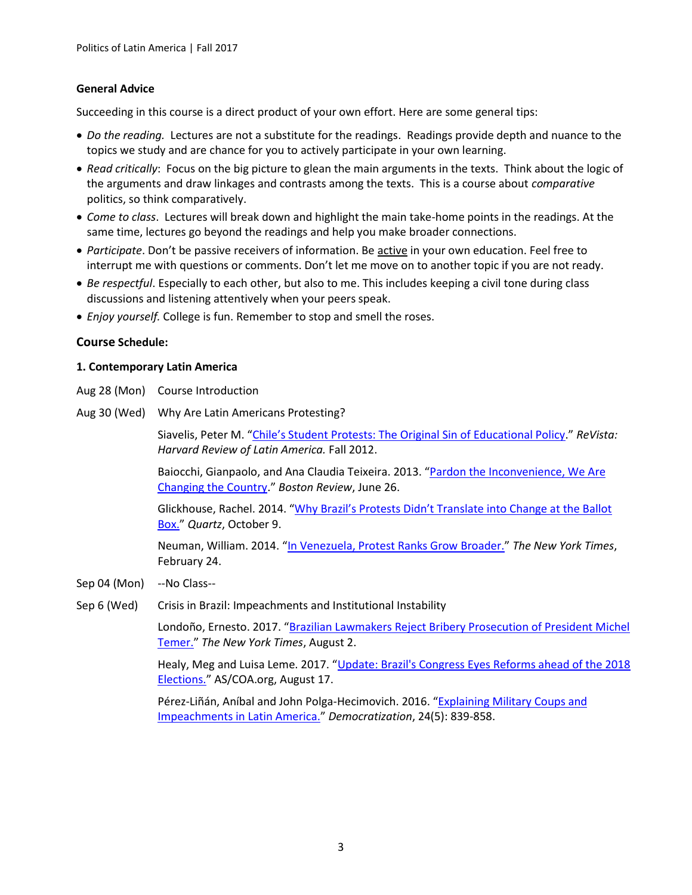### **General Advice**

Succeeding in this course is a direct product of your own effort. Here are some general tips:

- *Do the reading.* Lectures are not a substitute for the readings. Readings provide depth and nuance to the topics we study and are chance for you to actively participate in your own learning.
- *Read critically*: Focus on the big picture to glean the main arguments in the texts. Think about the logic of the arguments and draw linkages and contrasts among the texts. This is a course about *comparative*  politics, so think comparatively.
- *Come to class*. Lectures will break down and highlight the main take-home points in the readings. At the same time, lectures go beyond the readings and help you make broader connections.
- *Participate*. Don't be passive receivers of information. Be active in your own education. Feel free to interrupt me with questions or comments. Don't let me move on to another topic if you are not ready.
- *Be respectful*. Especially to each other, but also to me. This includes keeping a civil tone during class discussions and listening attentively when your peers speak.
- *Enjoy yourself.* College is fun. Remember to stop and smell the roses.

### **Course Schedule:**

### **1. Contemporary Latin America**

- Aug 28 (Mon) Course Introduction
- Aug 30 (Wed) Why Are Latin Americans Protesting?

Siavelis, Peter M. ["Chile's Student Protests: The Original Sin of Educational Policy.](http://revista.drclas.harvard.edu/book/chiles-student-protests)" *ReVista: Harvard Review of Latin America.* Fall 2012.

Baiocchi, Gianpaolo, and Ana Claudia Teixeira. 2013. "Pardon the Inconvenience, We Are [Changing the Country](http://bostonreview.net/blog/pardon-inconvenience-we-are-changing-country)." *Boston Review*, June 26.

Glickhouse, Rachel. 2014. ["Why Brazil's Protests Didn't Translate into Change at the Ballot](http://qz.com/278217/why-brazils-protests-didnt-translate-into-change-at-the-ballot-box/)  [Box.](http://qz.com/278217/why-brazils-protests-didnt-translate-into-change-at-the-ballot-box/)" *Quartz*, October 9.

Neuman, William. 2014. "[In Venezuela, Protest Ranks Grow Broader.](http://www.nytimes.com/2014/02/25/world/americas/in-venezuela-middle-class-joins-protests.html)" *The New York Times*, February 24.

- Sep 04 (Mon) --No Class--
- Sep 6 (Wed) Crisis in Brazil: Impeachments and Institutional Instability

Londoño, Ernesto. 2017. "Brazilian Lawmakers Reject Bribery Prosecution of President Michel [Temer.](https://www.nytimes.com/2017/08/02/world/americas/brazil-michel-temer-corruption-charges.html)" *The New York Times*, August 2.

Healy, Meg and Luisa Leme. 2017. "[Update: Brazil's Congress Eyes Reforms ahead of the 2018](http://www.as-coa.org/articles/update-brazils-congress-eyes-reforms-ahead-2018-elections)  [Elections.](http://www.as-coa.org/articles/update-brazils-congress-eyes-reforms-ahead-2018-elections)" AS/COA.org, August 17.

Pérez-Liñán, Aníbal and John Polga-Hecimovich. 2016. "[Explaining Military Coups and](http://www.tandfonline.com/eprint/riqdNId3UFvVWvPd2Xkv/full)  [Impeachments in Latin America.](http://www.tandfonline.com/eprint/riqdNId3UFvVWvPd2Xkv/full)" *Democratization*, 24(5): 839-858.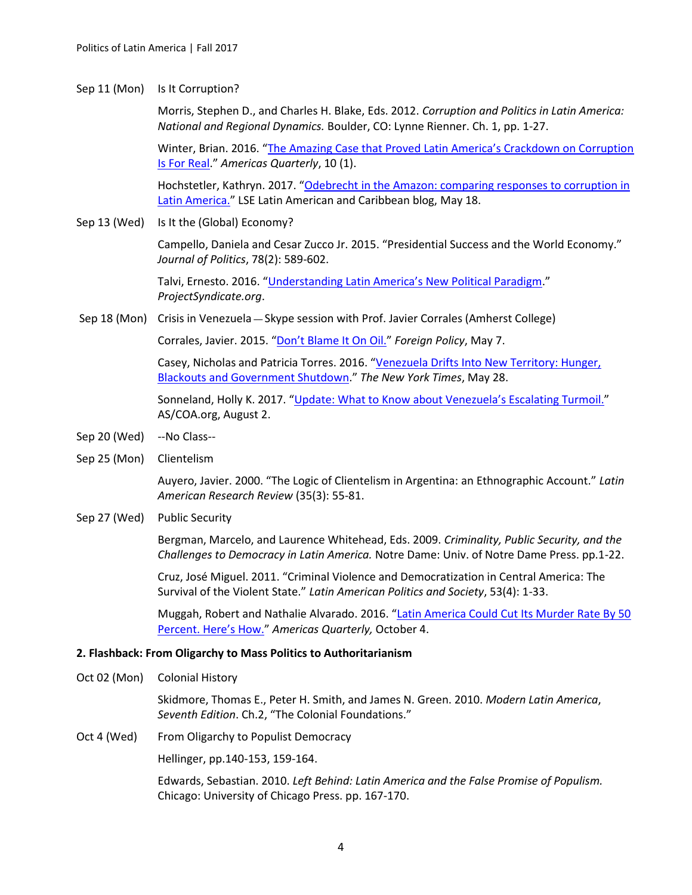#### Sep 11 (Mon) Is It Corruption?

Morris, Stephen D., and Charles H. Blake, Eds. 2012. *Corruption and Politics in Latin America: National and Regional Dynamics.* Boulder, CO: Lynne Rienner. Ch. 1, pp. 1-27.

Winter, Brian. 2016. "The Ama[zing Case that Proved Latin America's Crackdown on Corruption](http://americasquarterly.org/content/amazing-case-proved-latin-americas-crackdown-corruption-real)  [Is For Real](http://americasquarterly.org/content/amazing-case-proved-latin-americas-crackdown-corruption-real)." *Americas Quarterly*, 10 (1).

Hochstetler, Kathryn. 2017. "[Odebrecht in the Amazon: comparing responses to corruption in](http://blogs.lse.ac.uk/latamcaribbean/2017/05/18/odebrecht-in-the-amazon-comparing-responses-to-corruption-in-latin-america/)  [Latin America.](http://blogs.lse.ac.uk/latamcaribbean/2017/05/18/odebrecht-in-the-amazon-comparing-responses-to-corruption-in-latin-america/)" LSE Latin American and Caribbean blog, May 18.

Sep 13 (Wed) Is It the (Global) Economy?

Campello, Daniela and Cesar Zucco Jr. 2015. "Presidential Success and the World Economy." *Journal of Politics*, 78(2): 589-602.

Talvi, Ernesto. 2016. ["Understanding Latin America's New Political Paradigm.](https://www.project-syndicate.org/commentary/latin-america-political-economic-history-by-ernesto-talvi-2016-10)" *ProjectSyndicate.org*.

Sep 18 (Mon) Crisis in Venezuela - Skype session with Prof. Javier Corrales (Amherst College)

Corrales, Javier. 2015. ["Don't Blame It On Oil."](http://foreignpolicy.com/2015/05/07/dont-blame-it-on-the-oil-venezuela-caracas-maduro/) *Foreign Policy*, May 7.

Casey, Nicholas and Patricia Torres. 2016. "[Venezuela Drifts Into New Territory: Hunger,](http://www.nytimes.com/2016/05/28/world/americas/venezuela-economic-government-collapse.html)  [Blackouts and Government Shutdown](http://www.nytimes.com/2016/05/28/world/americas/venezuela-economic-government-collapse.html)." *The New York Times*, May 28.

Sonneland, Holly K. 2017. "Update: What to Know a[bout Venezuela's Escalating Turmoil."](http://www.as-coa.org/articles/update-what-know-about-venezuelas-escalating-turmoil) AS/COA.org, August 2.

- Sep 20 (Wed) --No Class--
- Sep 25 (Mon) Clientelism

Auyero, Javier. 2000. "The Logic of Clientelism in Argentina: an Ethnographic Account." *Latin American Research Review* (35(3): 55-81.

Sep 27 (Wed) Public Security

Bergman, Marcelo, and Laurence Whitehead, Eds. 2009. *Criminality, Public Security, and the Challenges to Democracy in Latin America.* Notre Dame: Univ. of Notre Dame Press. pp.1-22.

Cruz, José Miguel. 2011. "Criminal Violence and Democratization in Central America: The Survival of the Violent State." *Latin American Politics and Society*, 53(4): 1-33.

Muggah, Robert and Nathalie Alvarado. 2016. "[Latin America Could Cut Its Murder Rate By 50](http://www.americasquarterly.org/content/latin-america-could-cut-its-murder-rate-50-percent-heres-how)  [Percent. Here's How."](http://www.americasquarterly.org/content/latin-america-could-cut-its-murder-rate-50-percent-heres-how) *Americas Quarterly,* October 4.

#### **2. Flashback: From Oligarchy to Mass Politics to Authoritarianism**

Oct 02 (Mon) Colonial History

Skidmore, Thomas E., Peter H. Smith, and James N. Green. 2010. *Modern Latin America*, *Seventh Edition*. Ch.2, "The Colonial Foundations."

Oct 4 (Wed) From Oligarchy to Populist Democracy

Hellinger, pp.140-153, 159-164.

Edwards, Sebastian. 2010. *Left Behind: Latin America and the False Promise of Populism.* Chicago: University of Chicago Press. pp. 167-170.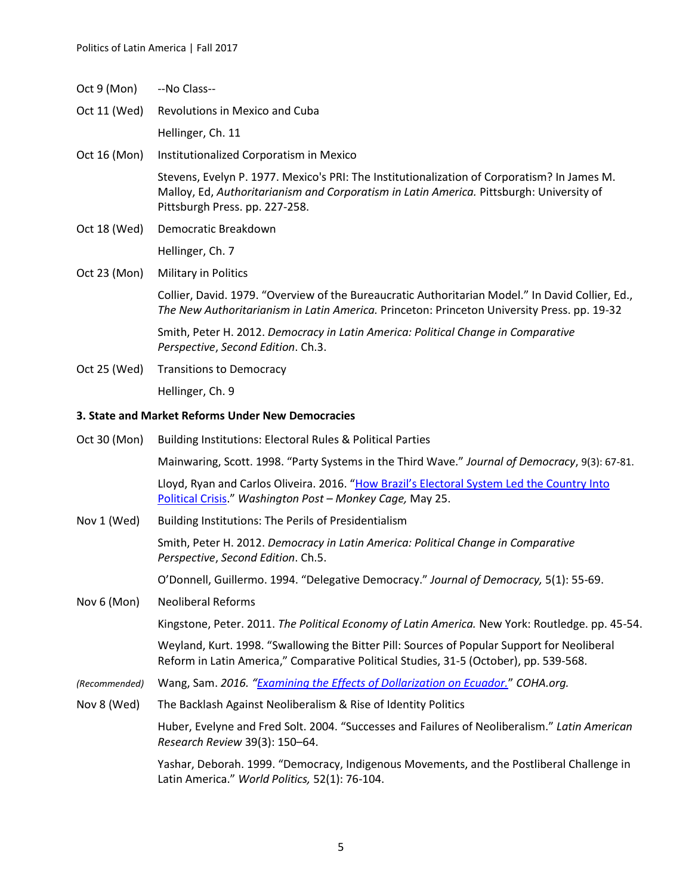- Oct 9 (Mon) --No Class--
- Oct 11 (Wed) Revolutions in Mexico and Cuba

Hellinger, Ch. 11

Oct 16 (Mon) Institutionalized Corporatism in Mexico

Stevens, Evelyn P. 1977. Mexico's PRI: The Institutionalization of Corporatism? In James M. Malloy, Ed, *Authoritarianism and Corporatism in Latin America.* Pittsburgh: University of Pittsburgh Press. pp. 227-258.

Oct 18 (Wed) Democratic Breakdown

Hellinger, Ch. 7

Oct 23 (Mon) Military in Politics

Collier, David. 1979. "Overview of the Bureaucratic Authoritarian Model." In David Collier, Ed., *The New Authoritarianism in Latin America.* Princeton: Princeton University Press. pp. 19-32

Smith, Peter H. 2012. *Democracy in Latin America: Political Change in Comparative Perspective*, *Second Edition*. Ch.3.

Oct 25 (Wed) Transitions to Democracy Hellinger, Ch. 9

#### **3. State and Market Reforms Under New Democracies**

| Oct 30 (Mon)  | <b>Building Institutions: Electoral Rules &amp; Political Parties</b>                                                                                                                |  |  |
|---------------|--------------------------------------------------------------------------------------------------------------------------------------------------------------------------------------|--|--|
|               | Mainwaring, Scott. 1998. "Party Systems in the Third Wave." Journal of Democracy, 9(3): 67-81.                                                                                       |  |  |
|               | Lloyd, Ryan and Carlos Oliveira. 2016. "How Brazil's Electoral System Led the Country Into<br>Political Crisis." Washington Post - Monkey Cage, May 25.                              |  |  |
| Nov 1 (Wed)   | Building Institutions: The Perils of Presidentialism                                                                                                                                 |  |  |
|               | Smith, Peter H. 2012. Democracy in Latin America: Political Change in Comparative<br>Perspective, Second Edition. Ch.5.                                                              |  |  |
|               | O'Donnell, Guillermo. 1994. "Delegative Democracy." Journal of Democracy, 5(1): 55-69.                                                                                               |  |  |
| Nov 6 (Mon)   | <b>Neoliberal Reforms</b>                                                                                                                                                            |  |  |
|               | Kingstone, Peter. 2011. The Political Economy of Latin America. New York: Routledge. pp. 45-54.                                                                                      |  |  |
|               | Weyland, Kurt. 1998. "Swallowing the Bitter Pill: Sources of Popular Support for Neoliberal<br>Reform in Latin America," Comparative Political Studies, 31-5 (October), pp. 539-568. |  |  |
| (Recommended) | Wang, Sam. 2016. "Examining the Effects of Dollarization on Ecuador." COHA.org.                                                                                                      |  |  |
| Nov 8 (Wed)   | The Backlash Against Neoliberalism & Rise of Identity Politics                                                                                                                       |  |  |
|               | Huber, Evelyne and Fred Solt. 2004. "Successes and Failures of Neoliberalism." Latin American<br>Research Review 39(3): 150-64.                                                      |  |  |
|               | Yashar, Deborah. 1999. "Democracy, Indigenous Movements, and the Postliberal Challenge in<br>Latin America." World Politics, 52(1): 76-104.                                          |  |  |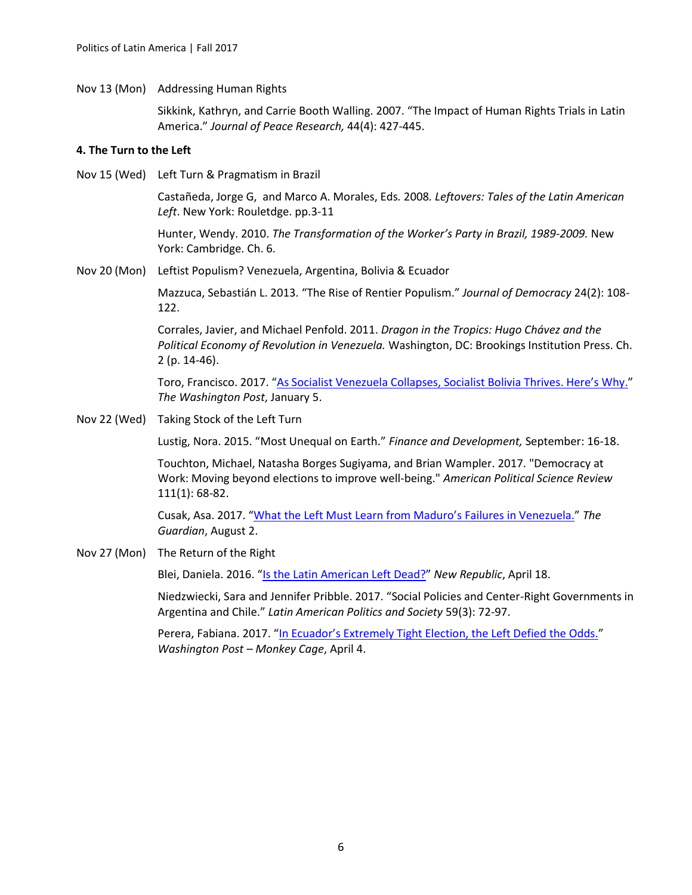Nov 13 (Mon) Addressing Human Rights

Sikkink, Kathryn, and Carrie Booth Walling. 2007. "The Impact of Human Rights Trials in Latin America." *Journal of Peace Research,* 44(4): 427-445.

#### **4. The Turn to the Left**

Nov 15 (Wed) Left Turn & Pragmatism in Brazil

Castañeda, Jorge G, and Marco A. Morales, Eds*.* 2008*. Leftovers: Tales of the Latin American Left*. New York: Rouletdge. pp.3-11

Hunter, Wendy. 2010. *The Transformation of the Worker's Party in Brazil, 1989-2009.* New York: Cambridge. Ch. 6.

Nov 20 (Mon) Leftist Populism? Venezuela, Argentina, Bolivia & Ecuador

Mazzuca, Sebastián L. 2013. "The Rise of Rentier Populism." *Journal of Democracy* 24(2): 108- 122.

Corrales, Javier, and Michael Penfold. 2011. *Dragon in the Tropics: Hugo Chávez and the Political Economy of Revolution in Venezuela.* Washington, DC: Brookings Institution Press. Ch. 2 (p. 14-46).

Toro, Francisco. 2017. ["As Socialist Venezuela Collapses, Socialist Bolivia Thrives. Here's Why](https://www.washingtonpost.com/amphtml/news/global-opinions/wp/2017/01/05/as-socialist-venezuela-collapses-socialist-bolivia-thrives-heres-why/)." *The Washington Post*, January 5.

Nov 22 (Wed) Taking Stock of the Left Turn

Lustig, Nora. 2015. "Most Unequal on Earth." *Finance and Development,* September: 16-18.

Touchton, Michael, Natasha Borges Sugiyama, and Brian Wampler. 2017. "Democracy at Work: Moving beyond elections to improve well-being." *American Political Science Review* 111(1): 68-82.

Cusak, Asa. 2017. "What the Left Must Learn f[rom Maduro's Failures in Venezuela."](https://www.theguardian.com/commentisfree/2017/aug/02/left-learn-maduros-failures-in-venezuela-bolivarian-revolution-chavismo) *The Guardian*, August 2.

Nov 27 (Mon) The Return of the Right

Blei, Daniela. 2016. "[Is the Latin American Left Dead?](https://newrepublic.com/article/132779/latin-american-left-dead)" *New Republic*, April 18.

Niedzwiecki, Sara and Jennifer Pribble. 2017. "Social Policies and Center-Right Governments in Argentina and Chile." *Latin American Politics and Society* 59(3): 72-97.

Perera, Fabiana. 2017. ["In Ecuador's Extremely Tight Election, the Left Defied the Odds."](https://www.washingtonpost.com/news/monkey-cage/wp/2017/04/04/in-ecuadors-extremely-tight-election-the-left-defied-the-odds/) *Washington Post – Monkey Cage*, April 4.